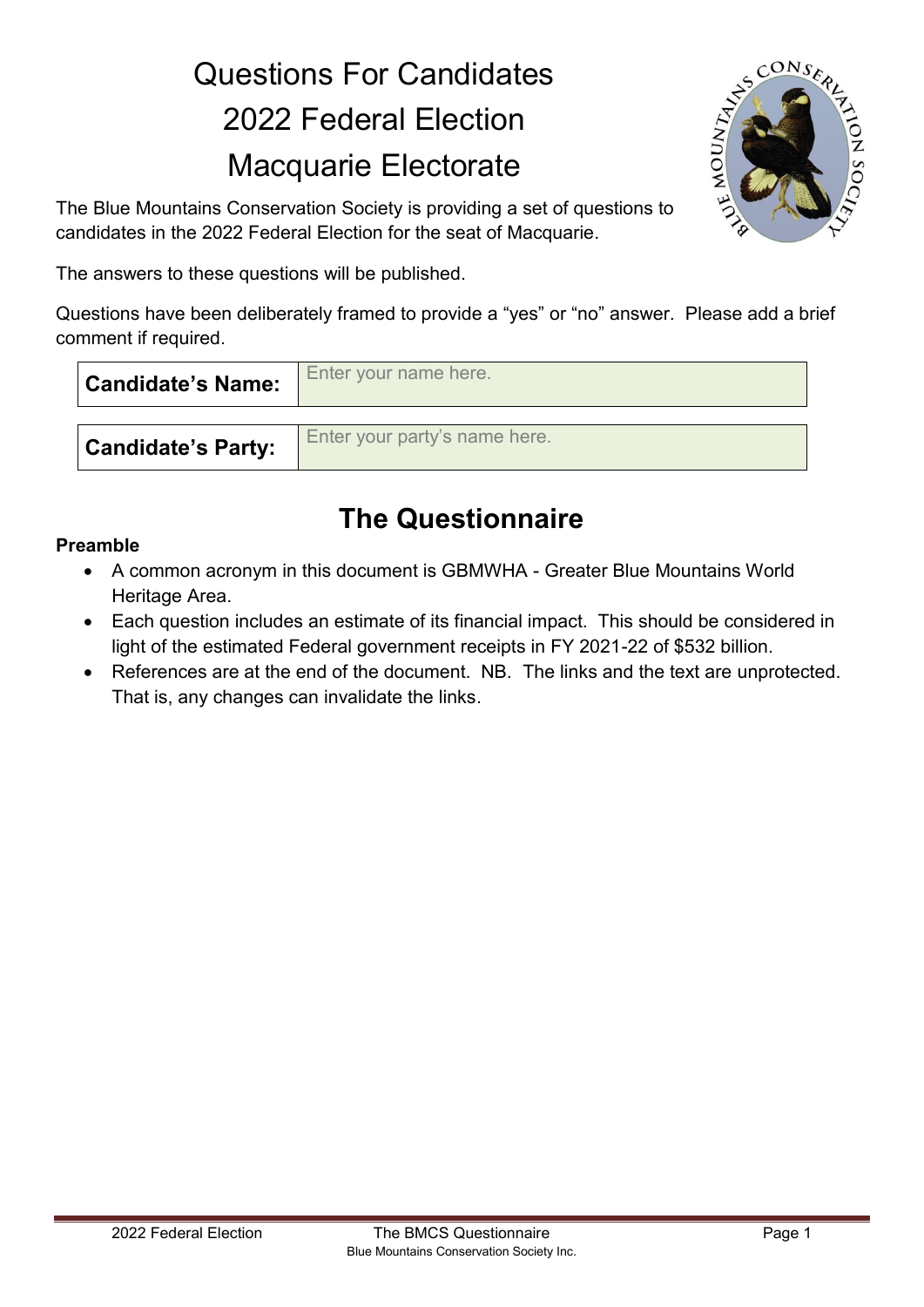# Questions For Candidates 2022 Federal Election Macquarie Electorate



The Blue Mountains Conservation Society is providing a set of questions to candidates in the 2022 Federal Election for the seat of Macquarie.

The answers to these questions will be published.

Questions have been deliberately framed to provide a "yes" or "no" answer. Please add a brief comment if required.

| <b>Candidate's Name:</b>  | Enter your name here.         |
|---------------------------|-------------------------------|
| <b>Candidate's Party:</b> | Enter your party's name here. |

## **The Questionnaire**

#### **Preamble**

- A common acronym in this document is GBMWHA Greater Blue Mountains World Heritage Area.
- Each question includes an estimate of its financial impact. This should be considered in light of the estimated Federal government receipts in FY 2021-22 of \$532 billion.
- References are at the end of the document. NB. The links and the text are unprotected. That is, any changes can invalidate the links.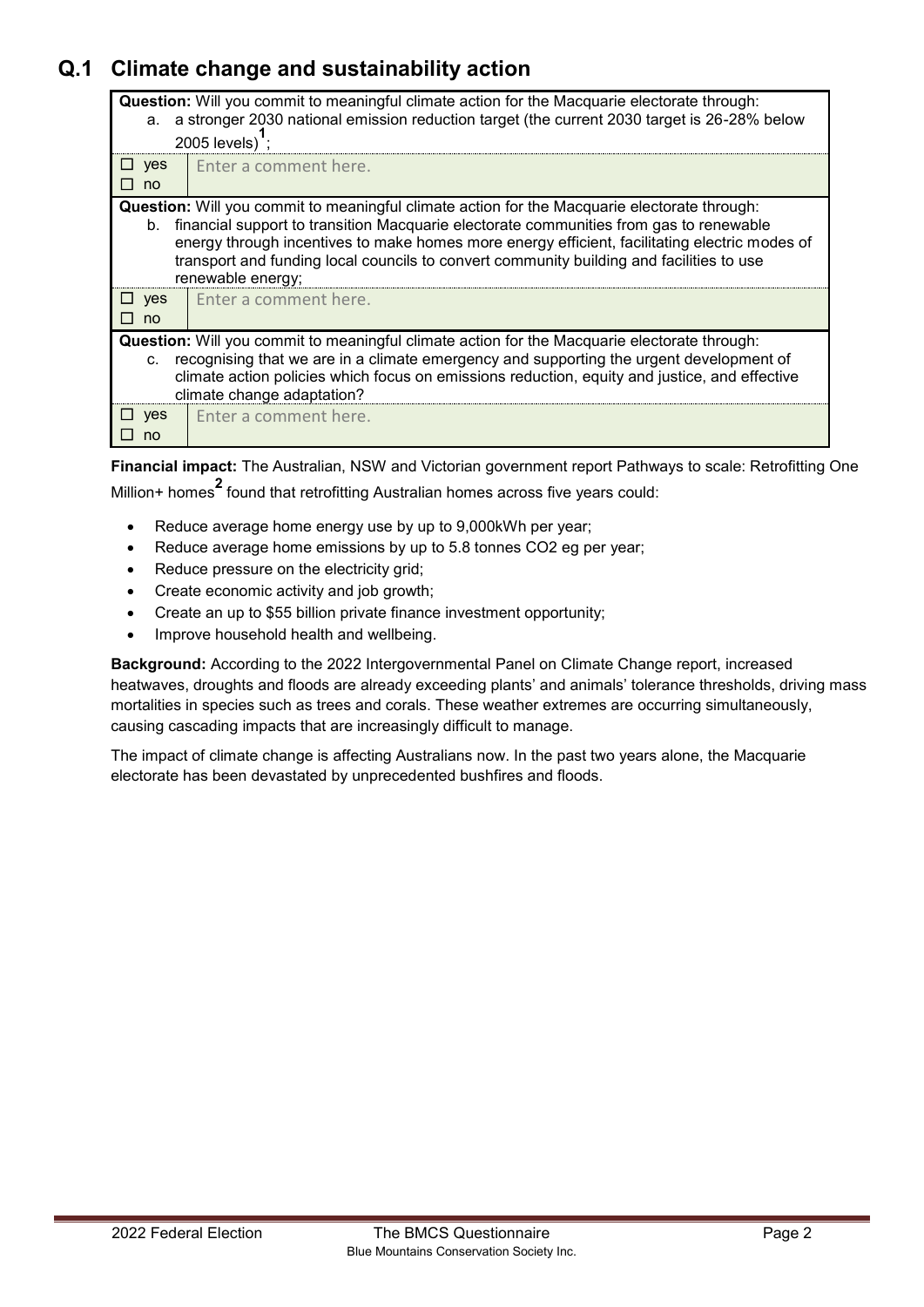## **Q.1 Climate change and sustainability action**

| <b>Question:</b> Will you commit to meaningful climate action for the Macquarie electorate through:<br>a stronger 2030 national emission reduction target (the current 2030 target is 26-28% below<br>а. |                                                                                                           |                                                                                               |  |  |  |
|----------------------------------------------------------------------------------------------------------------------------------------------------------------------------------------------------------|-----------------------------------------------------------------------------------------------------------|-----------------------------------------------------------------------------------------------|--|--|--|
|                                                                                                                                                                                                          |                                                                                                           |                                                                                               |  |  |  |
|                                                                                                                                                                                                          |                                                                                                           | 2005 levels);                                                                                 |  |  |  |
|                                                                                                                                                                                                          | $\sqcup$ yes                                                                                              | Enter a comment here.                                                                         |  |  |  |
|                                                                                                                                                                                                          | $\square$ no                                                                                              |                                                                                               |  |  |  |
| <b>Question:</b> Will you commit to meaningful climate action for the Macquarie electorate through:                                                                                                      |                                                                                                           |                                                                                               |  |  |  |
|                                                                                                                                                                                                          | financial support to transition Macquarie electorate communities from gas to renewable<br>b.              |                                                                                               |  |  |  |
|                                                                                                                                                                                                          |                                                                                                           | energy through incentives to make homes more energy efficient, facilitating electric modes of |  |  |  |
|                                                                                                                                                                                                          |                                                                                                           | transport and funding local councils to convert community building and facilities to use      |  |  |  |
|                                                                                                                                                                                                          |                                                                                                           | renewable energy;                                                                             |  |  |  |
|                                                                                                                                                                                                          | $\Box$ yes                                                                                                | Enter a comment here.                                                                         |  |  |  |
| п                                                                                                                                                                                                        | no                                                                                                        |                                                                                               |  |  |  |
|                                                                                                                                                                                                          |                                                                                                           |                                                                                               |  |  |  |
| <b>Question:</b> Will you commit to meaningful climate action for the Macquarie electorate through:                                                                                                      |                                                                                                           |                                                                                               |  |  |  |
|                                                                                                                                                                                                          | recognising that we are in a climate emergency and supporting the urgent development of<br>$\mathbf{C}$ . |                                                                                               |  |  |  |
|                                                                                                                                                                                                          |                                                                                                           | climate action policies which focus on emissions reduction, equity and justice, and effective |  |  |  |
| climate change adaptation?                                                                                                                                                                               |                                                                                                           |                                                                                               |  |  |  |
|                                                                                                                                                                                                          | $\sqcup$ yes                                                                                              | Enter a comment here.                                                                         |  |  |  |
| . .                                                                                                                                                                                                      | no                                                                                                        |                                                                                               |  |  |  |
|                                                                                                                                                                                                          |                                                                                                           |                                                                                               |  |  |  |

**Financial impact:** The Australian, NSW and Victorian government report Pathways to scale: Retrofitting One Million+ homes **2** found that retrofitting Australian homes across five years could:

- Reduce average home energy use by up to 9,000kWh per year;
- Reduce average home emissions by up to 5.8 tonnes CO2 eg per year;
- Reduce pressure on the electricity grid;
- Create economic activity and job growth;
- Create an up to \$55 billion private finance investment opportunity;
- Improve household health and wellbeing.

**Background:** According to the 2022 Intergovernmental Panel on Climate Change report, increased heatwaves, droughts and floods are already exceeding plants' and animals' tolerance thresholds, driving mass mortalities in species such as trees and corals. These weather extremes are occurring simultaneously, causing cascading impacts that are increasingly difficult to manage.

The impact of climate change is affecting Australians now. In the past two years alone, the Macquarie electorate has been devastated by unprecedented bushfires and floods.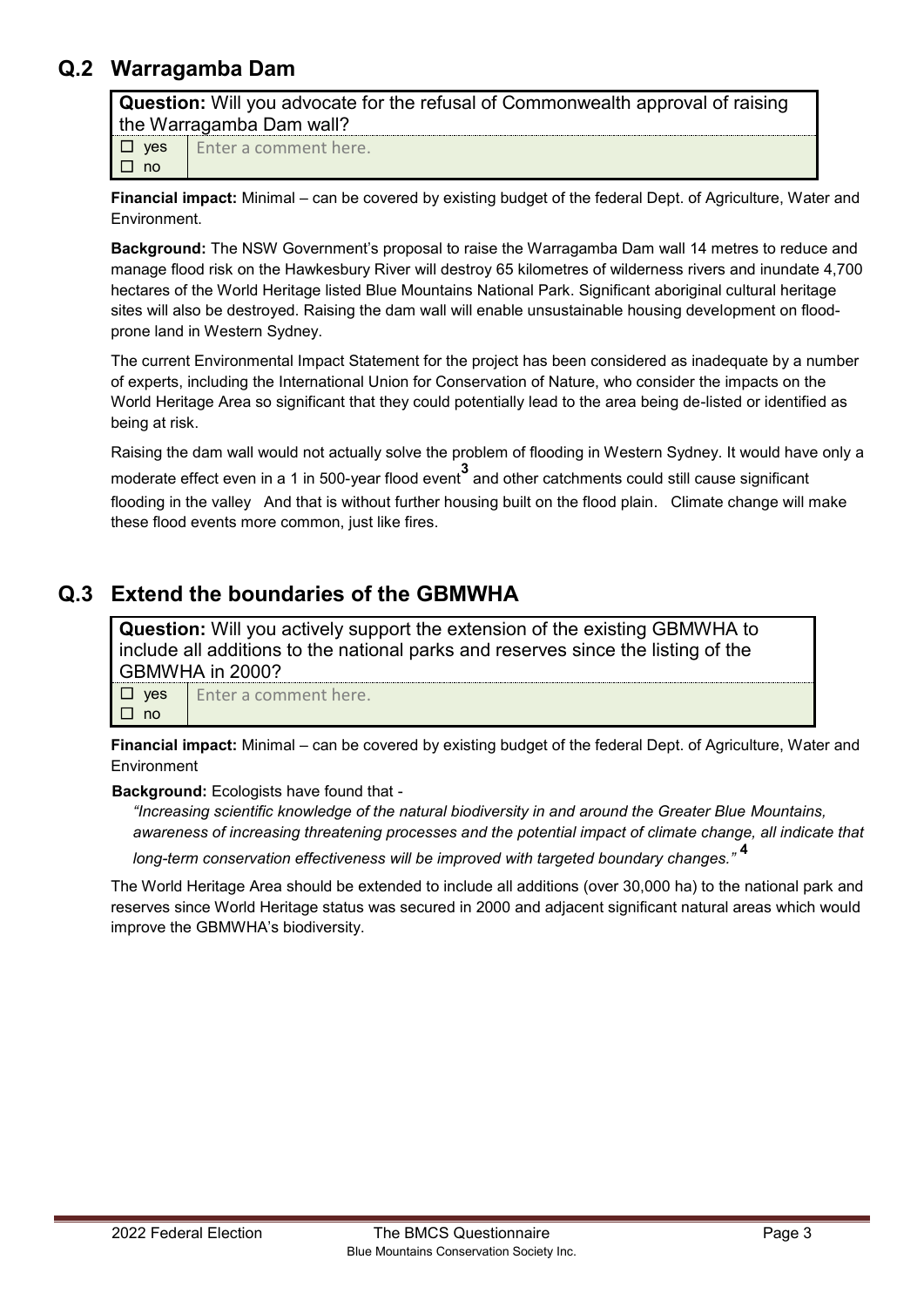#### **Q.2 Warragamba Dam**

**Question:** Will you advocate for the refusal of Commonwealth approval of raising the Warragamba Dam wall?

☐yes ☐no

Enter a comment here.

**Financial impact:** Minimal – can be covered by existing budget of the federal Dept. of Agriculture, Water and Environment.

**Background:** The NSW Government's proposal to raise the Warragamba Dam wall 14 metres to reduce and manage flood risk on the Hawkesbury River will destroy 65 kilometres of wilderness rivers and inundate 4,700 hectares of the World Heritage listed Blue Mountains National Park. Significant aboriginal cultural heritage sites will also be destroyed. Raising the dam wall will enable unsustainable housing development on floodprone land in Western Sydney.

The current Environmental Impact Statement for the project has been considered as inadequate by a number of experts, including the International Union for Conservation of Nature, who consider the impacts on the World Heritage Area so significant that they could potentially lead to the area being de-listed or identified as being at risk.

Raising the dam wall would not actually solve the problem of flooding in Western Sydney. It would have only a

moderate effect even in a 1 in 500-year flood event**<sup>3</sup>** and other catchments could still cause significant flooding in the valley And that is without further housing built on the flood plain. Climate change will make these flood events more common, just like fires.

## **Q.3 Extend the boundaries of the GBMWHA**

**Question:** Will you actively support the extension of the existing GBMWHA to include all additions to the national parks and reserves since the listing of the GBMWHA in 2000?

☐yes ☐no Enter a comment here.

**Financial impact:** Minimal – can be covered by existing budget of the federal Dept. of Agriculture, Water and **Environment** 

**Background:** Ecologists have found that -

*"Increasing scientific knowledge of the natural biodiversity in and around the Greater Blue Mountains, awareness of increasing threatening processes and the potential impact of climate change, all indicate that* 

*long-term conservation effectiveness will be improved with targeted boundary changes."* **<sup>4</sup>**

The World Heritage Area should be extended to include all additions (over 30,000 ha) to the national park and reserves since World Heritage status was secured in 2000 and adjacent significant natural areas which would improve the GBMWHA's biodiversity.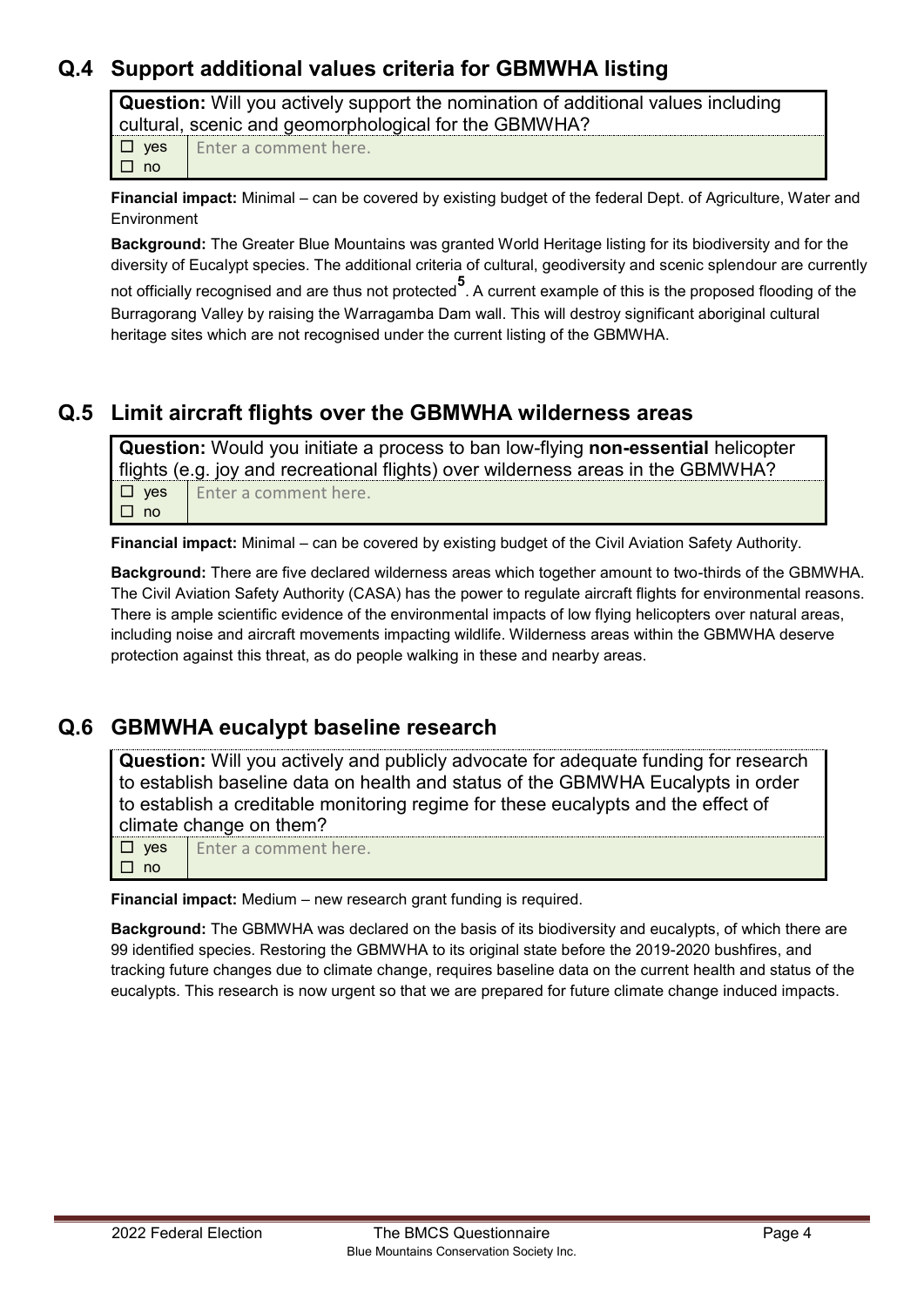## **Q.4 Support additional values criteria for GBMWHA listing**

**Question:** Will you actively support the nomination of additional values including cultural, scenic and geomorphological for the GBMWHA?

☐yes ☐no Enter a comment here.

**Financial impact:** Minimal – can be covered by existing budget of the federal Dept. of Agriculture, Water and Environment

**Background:** The Greater Blue Mountains was granted World Heritage listing for its biodiversity and for the diversity of Eucalypt species. The additional criteria of cultural, geodiversity and scenic splendour are currently not officially recognised and are thus not protected**<sup>5</sup>** . A current example of this is the proposed flooding of the Burragorang Valley by raising the Warragamba Dam wall. This will destroy significant aboriginal cultural heritage sites which are not recognised under the current listing of the GBMWHA.

#### **Q.5 Limit aircraft flights over the GBMWHA wilderness areas**

**Question:** Would you initiate a process to ban low-flying **non-essential** helicopter flights (e.g. joy and recreational flights) over wilderness areas in the GBMWHA? ☐yes ☐no Enter a comment here.

**Financial impact:** Minimal – can be covered by existing budget of the Civil Aviation Safety Authority.

**Background:** There are five declared wilderness areas which together amount to two-thirds of the GBMWHA. The Civil Aviation Safety Authority (CASA) has the power to regulate aircraft flights for environmental reasons. There is ample scientific evidence of the environmental impacts of low flying helicopters over natural areas, including noise and aircraft movements impacting wildlife. Wilderness areas within the GBMWHA deserve protection against this threat, as do people walking in these and nearby areas.

## **Q.6 GBMWHA eucalypt baseline research**

**Question:** Will you actively and publicly advocate for adequate funding for research to establish baseline data on health and status of the GBMWHA Eucalypts in order to establish a creditable monitoring regime for these eucalypts and the effect of climate change on them?

☐yes Enter a comment here.

☐no

**Financial impact:** Medium – new research grant funding is required.

**Background:** The GBMWHA was declared on the basis of its biodiversity and eucalypts, of which there are 99 identified species. Restoring the GBMWHA to its original state before the 2019-2020 bushfires, and tracking future changes due to climate change, requires baseline data on the current health and status of the eucalypts. This research is now urgent so that we are prepared for future climate change induced impacts.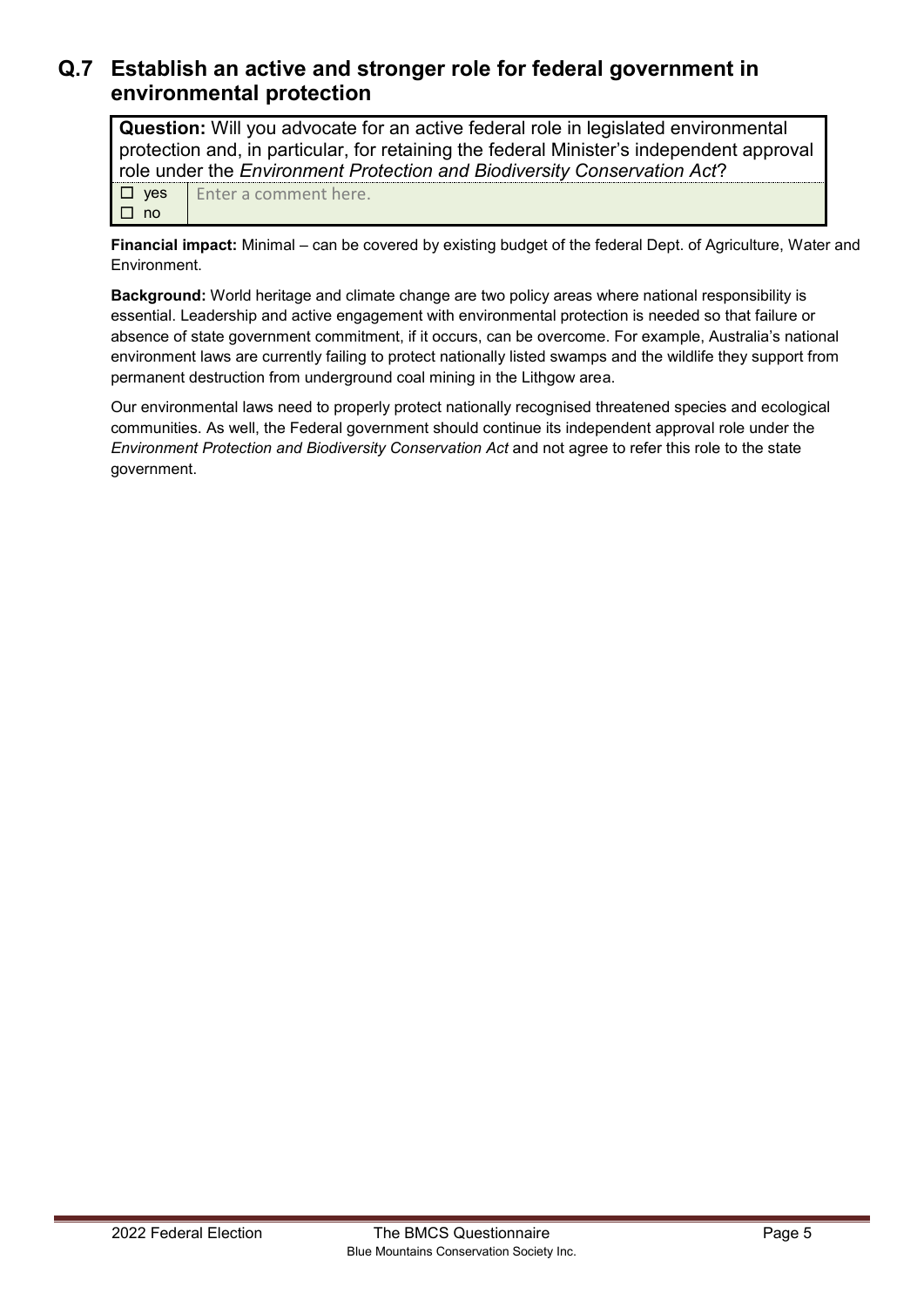#### **Q.7 Establish an active and stronger role for federal government in environmental protection**

**Question:** Will you advocate for an active federal role in legislated environmental protection and, in particular, for retaining the federal Minister's independent approval role under the *Environment Protection and Biodiversity Conservation Act*?

☐yes ☐no Enter a comment here.

**Financial impact:** Minimal – can be covered by existing budget of the federal Dept. of Agriculture, Water and Environment.

**Background:** World heritage and climate change are two policy areas where national responsibility is essential. Leadership and active engagement with environmental protection is needed so that failure or absence of state government commitment, if it occurs, can be overcome. For example, Australia's national environment laws are currently failing to protect nationally listed swamps and the wildlife they support from permanent destruction from underground coal mining in the Lithgow area.

Our environmental laws need to properly protect nationally recognised threatened species and ecological communities. As well, the Federal government should continue its independent approval role under the *Environment Protection and Biodiversity Conservation Act* and not agree to refer this role to the state government.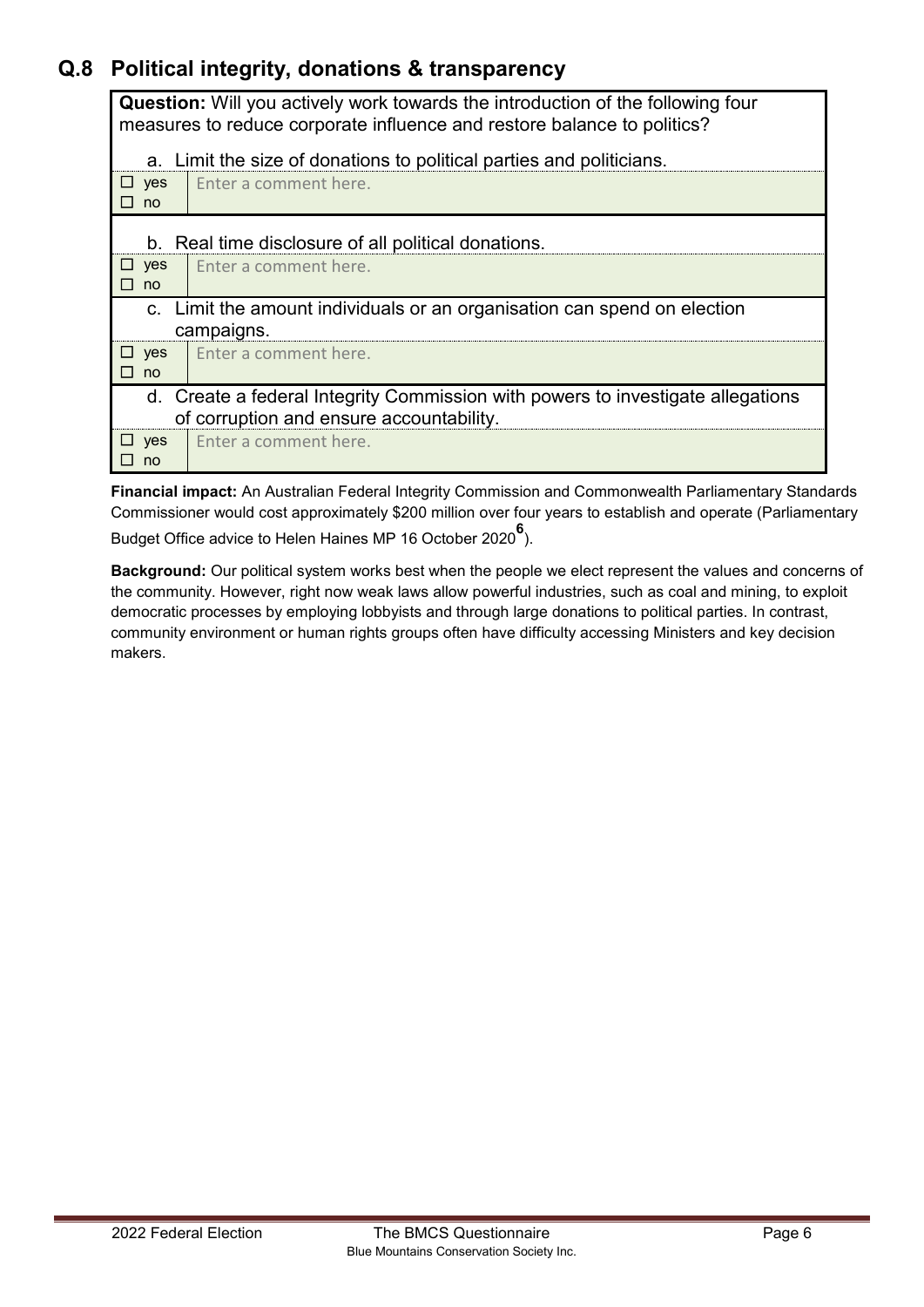## **Q.8 Political integrity, donations & transparency**

**Question:** Will you actively work towards the introduction of the following four measures to reduce corporate influence and restore balance to politics?

| a. Limit the size of donations to political parties and politicians. |                                                                                 |                                                                       |  |  |
|----------------------------------------------------------------------|---------------------------------------------------------------------------------|-----------------------------------------------------------------------|--|--|
| yes<br>ப<br>no                                                       |                                                                                 | Enter a comment here.                                                 |  |  |
|                                                                      |                                                                                 |                                                                       |  |  |
| b. Real time disclosure of all political donations.                  |                                                                                 |                                                                       |  |  |
| ш<br>yes                                                             |                                                                                 | Enter a comment here.                                                 |  |  |
| П<br>no                                                              |                                                                                 |                                                                       |  |  |
| $C_{\cdot}$                                                          |                                                                                 | Limit the amount individuals or an organisation can spend on election |  |  |
|                                                                      | campaigns.                                                                      |                                                                       |  |  |
| $\Box$ yes                                                           |                                                                                 | Enter a comment here.                                                 |  |  |
| no<br>П                                                              |                                                                                 |                                                                       |  |  |
|                                                                      | d. Create a federal Integrity Commission with powers to investigate allegations |                                                                       |  |  |
| of corruption and ensure accountability.                             |                                                                                 |                                                                       |  |  |
| yes<br>$\mathbf{L}$                                                  |                                                                                 | Enter a comment here.                                                 |  |  |
| no                                                                   |                                                                                 |                                                                       |  |  |

**Financial impact:** An Australian Federal Integrity Commission and Commonwealth Parliamentary Standards Commissioner would cost approximately \$200 million over four years to establish and operate (Parliamentary Budget Office advice to Helen Haines MP 16 October 2020 **6** ).

**Background:** Our political system works best when the people we elect represent the values and concerns of the community. However, right now weak laws allow powerful industries, such as coal and mining, to exploit democratic processes by employing lobbyists and through large donations to political parties. In contrast, community environment or human rights groups often have difficulty accessing Ministers and key decision makers.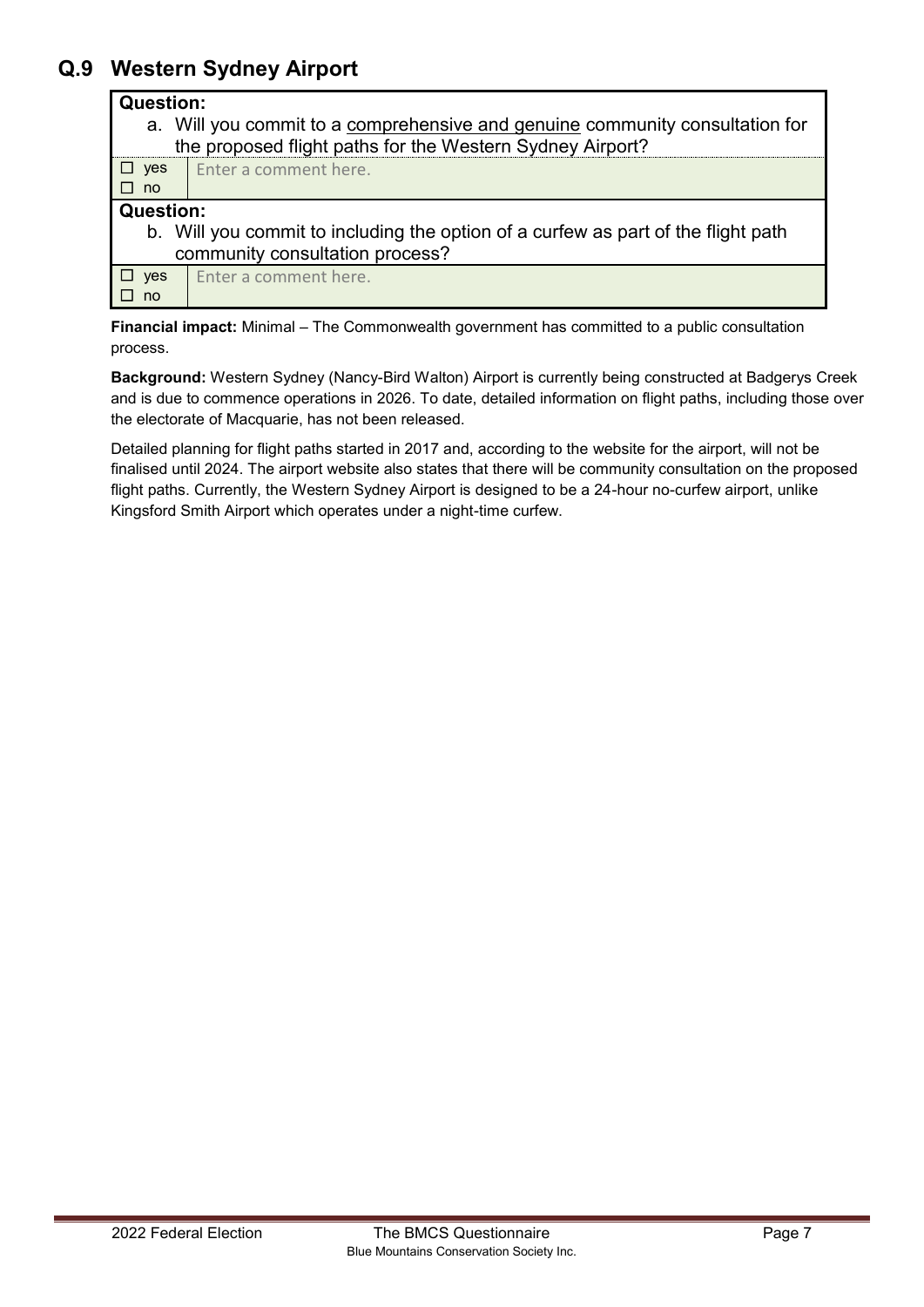## **Q.9 Western Sydney Airport**

#### **Question:**

| a. Will you commit to a comprehensive and genuine community consultation for |
|------------------------------------------------------------------------------|
| the proposed flight paths for the Western Sydney Airport?                    |

| II ves                          | Enter a comment here. |
|---------------------------------|-----------------------|
| <b>The Contract State</b><br>no |                       |

#### **Question:**

b. Will you commit to including the option of a curfew as part of the flight path community consultation process?

☐yes ☐no Enter a comment here.

**Financial impact:** Minimal – The Commonwealth government has committed to a public consultation process.

**Background:** Western Sydney (Nancy-Bird Walton) Airport is currently being constructed at Badgerys Creek and is due to commence operations in 2026. To date, detailed information on flight paths, including those over the electorate of Macquarie, has not been released.

Detailed planning for flight paths started in 2017 and, according to the website for the airport, will not be finalised until 2024. The airport website also states that there will be community consultation on the proposed flight paths. Currently, the Western Sydney Airport is designed to be a 24-hour no-curfew airport, unlike Kingsford Smith Airport which operates under a night-time curfew.